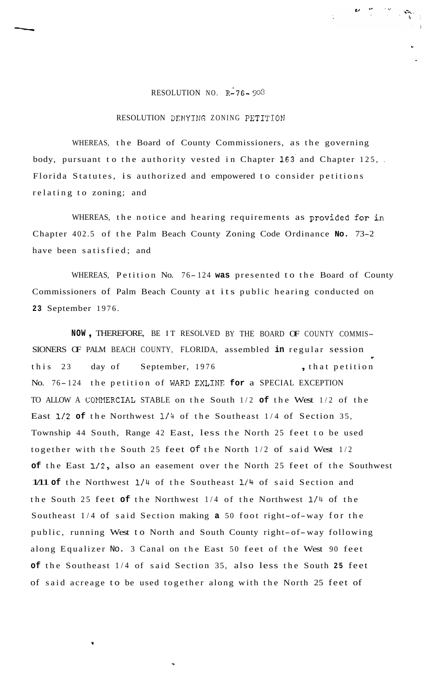## RESOLUTION NO.  $R-76-903$

## RESOLUTION DENYING ZONING PETITION

WHEREAS, the Board of County Commissioners, as the governing body, pursuant to the authority vested in Chapter **163'** and Chapter 125, . Florida Statutes, is authorized and empowered to consider petitions relating to zoning; and

WHEREAS, the notice and hearing requirements as provided for in Chapter 402.5 of the Palm Beach County Zoning Code Ordinance **No.** 73-2 have been satisfied; and

WHEREAS, Petition No. 76-124 was presented to the Board of County Commissioners of Palm Beach County at its public hearing conducted on **23** September 1976.

**NOW** , THEREFORE, BE IT RESOLVED BY THE BOARD OF COUNTY COMMIS-SIONERS OF PALM BEACH COUNTY, FLORIDA, assembled **in** regular session this 23 day of September, 1976 , that petition No. 76-124 the petition of WARD EXLINE for a SPECIAL EXCEPTION TO ALLOW A CONNERCIAL STABLE on the South 1/2 **of** the West 1/2 of the East 1/2 **of** the Northwest **1/4** of the Southeast 1/4 of Section 35, Township 44 South, Range 42 East, less the North 25 feet to be used together with the South 25 feet of the North 1/2 of said West 1/2 **of** the East 1/2, also an easement over the North 25 feet of the Southwest 1/11 **of** the Northwest 1/4 of the Southeast 1/4 of said Section and the South 25 feet **of** the Northwest 1/4 of the Northwest l/4 of the Southeast 1/4 of said Section making **a** 50 foot right-of-way for the public, running West to North and South County right-of-way following along Equalizer No. 3 Canal on the East 50 feet of the West 90 feet **of** the Southeast 1/4 of said Section 35, also less the South **25** feet of said acreage to be used together along with the North 25 feet of